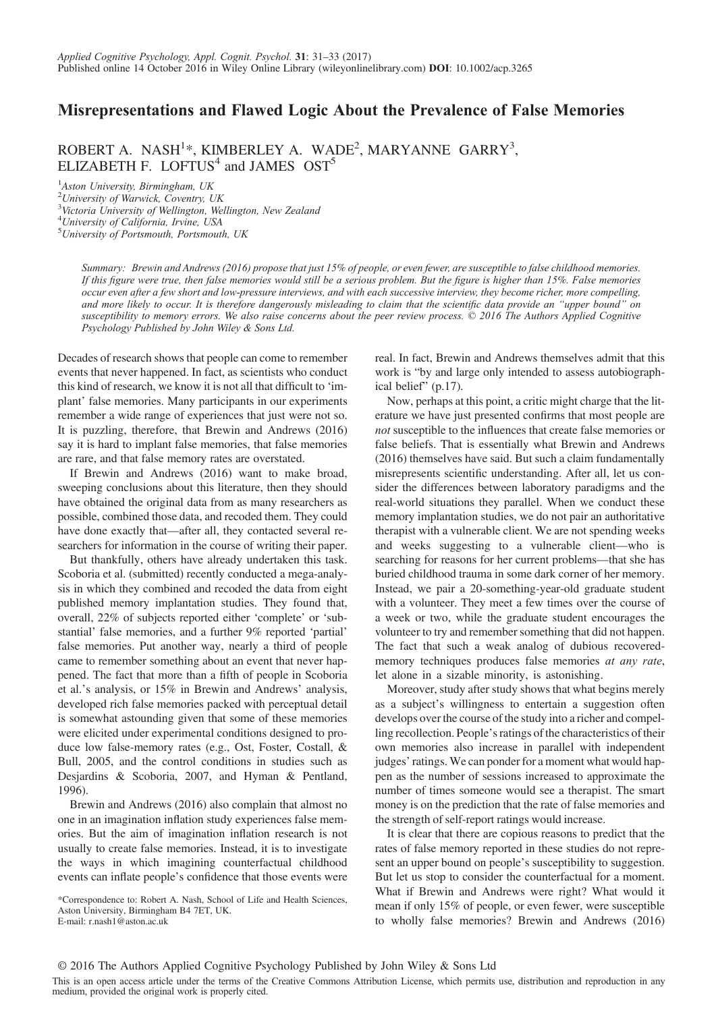## Misrepresentations and Flawed Logic About the Prevalence of False Memories

ROBERT A. NASH<sup>1\*</sup>, KIMBERLEY A. WADE<sup>2</sup>, MARYANNE GARRY<sup>3</sup>, ELIZABETH F. LOFTUS<sup>4</sup> and JAMES  $OST^5$ 

<sup>1</sup>Aston University, Birmingham, UK

<sup>2</sup>University of Warwick, Coventry, UK <sup>3</sup>Victoria University of Wellington, Wellington, New Zealand 4 University of California, Irvine, USA

5 University of Portsmouth, Portsmouth, UK

Summary: Brewin and Andrews (2016) propose that just 15% of people, or even fewer, are susceptible to false childhood memories. If this figure were true, then false memories would still be a serious problem. But the figure is higher than 15%. False memories occur even after a few short and low-pressure interviews, and with each successive interview, they become richer, more compelling, and more likely to occur. It is therefore dangerously misleading to claim that the scientific data provide an "upper bound" on susceptibility to memory errors. We also raise concerns about the peer review process. © 2016 The Authors Applied Cognitive Psychology Published by John Wiley & Sons Ltd.

Decades of research shows that people can come to remember events that never happened. In fact, as scientists who conduct this kind of research, we know it is not all that difficult to 'implant' false memories. Many participants in our experiments remember a wide range of experiences that just were not so. It is puzzling, therefore, that Brewin and Andrews (2016) say it is hard to implant false memories, that false memories are rare, and that false memory rates are overstated.

If Brewin and Andrews (2016) want to make broad, sweeping conclusions about this literature, then they should have obtained the original data from as many researchers as possible, combined those data, and recoded them. They could have done exactly that—after all, they contacted several researchers for information in the course of writing their paper.

But thankfully, others have already undertaken this task. Scoboria et al. (submitted) recently conducted a mega-analysis in which they combined and recoded the data from eight published memory implantation studies. They found that, overall, 22% of subjects reported either 'complete' or 'substantial' false memories, and a further 9% reported 'partial' false memories. Put another way, nearly a third of people came to remember something about an event that never happened. The fact that more than a fifth of people in Scoboria et al.'s analysis, or 15% in Brewin and Andrews' analysis, developed rich false memories packed with perceptual detail is somewhat astounding given that some of these memories were elicited under experimental conditions designed to produce low false-memory rates (e.g., Ost, Foster, Costall, & Bull, 2005, and the control conditions in studies such as Desjardins & Scoboria, 2007, and Hyman & Pentland, 1996).

Brewin and Andrews (2016) also complain that almost no one in an imagination inflation study experiences false memories. But the aim of imagination inflation research is not usually to create false memories. Instead, it is to investigate the ways in which imagining counterfactual childhood events can inflate people's confidence that those events were

\*Correspondence to: Robert A. Nash, School of Life and Health Sciences, Aston University, Birmingham B4 7ET, UK. E-mail: r.nash1@aston.ac.uk

real. In fact, Brewin and Andrews themselves admit that this work is "by and large only intended to assess autobiographical belief" (p.17).

Now, perhaps at this point, a critic might charge that the literature we have just presented confirms that most people are not susceptible to the influences that create false memories or false beliefs. That is essentially what Brewin and Andrews (2016) themselves have said. But such a claim fundamentally misrepresents scientific understanding. After all, let us consider the differences between laboratory paradigms and the real-world situations they parallel. When we conduct these memory implantation studies, we do not pair an authoritative therapist with a vulnerable client. We are not spending weeks and weeks suggesting to a vulnerable client—who is searching for reasons for her current problems—that she has buried childhood trauma in some dark corner of her memory. Instead, we pair a 20-something-year-old graduate student with a volunteer. They meet a few times over the course of a week or two, while the graduate student encourages the volunteer to try and remember something that did not happen. The fact that such a weak analog of dubious recoveredmemory techniques produces false memories at any rate, let alone in a sizable minority, is astonishing.

Moreover, study after study shows that what begins merely as a subject's willingness to entertain a suggestion often develops over the course of the study into a richer and compelling recollection. People's ratings of the characteristics of their own memories also increase in parallel with independent judges' ratings. We can ponder for a moment what would happen as the number of sessions increased to approximate the number of times someone would see a therapist. The smart money is on the prediction that the rate of false memories and the strength of self-report ratings would increase.

It is clear that there are copious reasons to predict that the rates of false memory reported in these studies do not represent an upper bound on people's susceptibility to suggestion. But let us stop to consider the counterfactual for a moment. What if Brewin and Andrews were right? What would it mean if only 15% of people, or even fewer, were susceptible to wholly false memories? Brewin and Andrews (2016)

This is an open access article under the terms of the [Creative Commons Attribution](http://creativecommons.org/licenses/by/4.0/) License, which permits use, distribution and reproduction in any medium, provided the original work is properly cited.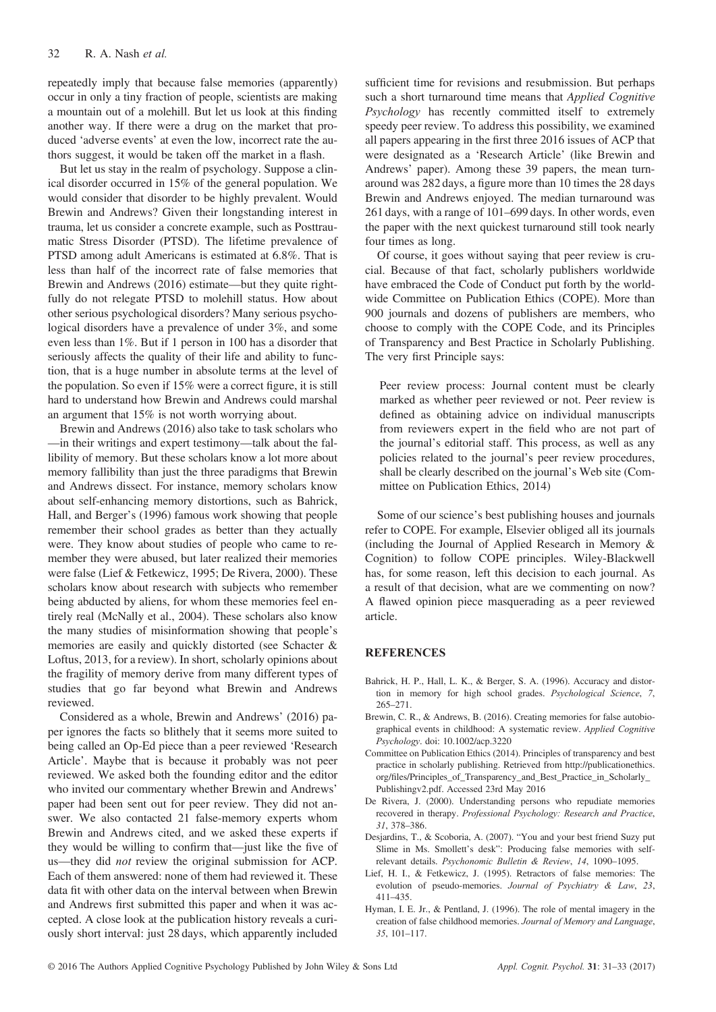repeatedly imply that because false memories (apparently) occur in only a tiny fraction of people, scientists are making a mountain out of a molehill. But let us look at this finding another way. If there were a drug on the market that produced 'adverse events' at even the low, incorrect rate the authors suggest, it would be taken off the market in a flash.

But let us stay in the realm of psychology. Suppose a clinical disorder occurred in 15% of the general population. We would consider that disorder to be highly prevalent. Would Brewin and Andrews? Given their longstanding interest in trauma, let us consider a concrete example, such as Posttraumatic Stress Disorder (PTSD). The lifetime prevalence of PTSD among adult Americans is estimated at 6.8%. That is less than half of the incorrect rate of false memories that Brewin and Andrews (2016) estimate—but they quite rightfully do not relegate PTSD to molehill status. How about other serious psychological disorders? Many serious psychological disorders have a prevalence of under 3%, and some even less than 1%. But if 1 person in 100 has a disorder that seriously affects the quality of their life and ability to function, that is a huge number in absolute terms at the level of the population. So even if 15% were a correct figure, it is still hard to understand how Brewin and Andrews could marshal an argument that 15% is not worth worrying about.

Brewin and Andrews (2016) also take to task scholars who —in their writings and expert testimony—talk about the fallibility of memory. But these scholars know a lot more about memory fallibility than just the three paradigms that Brewin and Andrews dissect. For instance, memory scholars know about self-enhancing memory distortions, such as Bahrick, Hall, and Berger's (1996) famous work showing that people remember their school grades as better than they actually were. They know about studies of people who came to remember they were abused, but later realized their memories were false (Lief & Fetkewicz, 1995; De Rivera, 2000). These scholars know about research with subjects who remember being abducted by aliens, for whom these memories feel entirely real (McNally et al., 2004). These scholars also know the many studies of misinformation showing that people's memories are easily and quickly distorted (see Schacter & Loftus, 2013, for a review). In short, scholarly opinions about the fragility of memory derive from many different types of studies that go far beyond what Brewin and Andrews reviewed.

Considered as a whole, Brewin and Andrews' (2016) paper ignores the facts so blithely that it seems more suited to being called an Op-Ed piece than a peer reviewed 'Research Article'. Maybe that is because it probably was not peer reviewed. We asked both the founding editor and the editor who invited our commentary whether Brewin and Andrews' paper had been sent out for peer review. They did not answer. We also contacted 21 false-memory experts whom Brewin and Andrews cited, and we asked these experts if they would be willing to confirm that—just like the five of us—they did not review the original submission for ACP. Each of them answered: none of them had reviewed it. These data fit with other data on the interval between when Brewin and Andrews first submitted this paper and when it was accepted. A close look at the publication history reveals a curiously short interval: just 28 days, which apparently included sufficient time for revisions and resubmission. But perhaps such a short turnaround time means that Applied Cognitive Psychology has recently committed itself to extremely speedy peer review. To address this possibility, we examined all papers appearing in the first three 2016 issues of ACP that were designated as a 'Research Article' (like Brewin and Andrews' paper). Among these 39 papers, the mean turnaround was 282 days, a figure more than 10 times the 28 days Brewin and Andrews enjoyed. The median turnaround was 261 days, with a range of 101–699 days. In other words, even the paper with the next quickest turnaround still took nearly four times as long.

Of course, it goes without saying that peer review is crucial. Because of that fact, scholarly publishers worldwide have embraced the Code of Conduct put forth by the worldwide Committee on Publication Ethics (COPE). More than 900 journals and dozens of publishers are members, who choose to comply with the COPE Code, and its Principles of Transparency and Best Practice in Scholarly Publishing. The very first Principle says:

Peer review process: Journal content must be clearly marked as whether peer reviewed or not. Peer review is defined as obtaining advice on individual manuscripts from reviewers expert in the field who are not part of the journal's editorial staff. This process, as well as any policies related to the journal's peer review procedures, shall be clearly described on the journal's Web site (Committee on Publication Ethics, 2014)

Some of our science's best publishing houses and journals refer to COPE. For example, Elsevier obliged all its journals (including the Journal of Applied Research in Memory & Cognition) to follow COPE principles. Wiley-Blackwell has, for some reason, left this decision to each journal. As a result of that decision, what are we commenting on now? A flawed opinion piece masquerading as a peer reviewed article.

## **REFERENCES**

- Bahrick, H. P., Hall, L. K., & Berger, S. A. (1996). Accuracy and distortion in memory for high school grades. Psychological Science, 7, 265–271.
- Brewin, C. R., & Andrews, B. (2016). Creating memories for false autobiographical events in childhood: A systematic review. Applied Cognitive Psychology. doi: [10.1002/acp.3220](http://dx.doi.org/10.1002/acp.3220)
- Committee on Publication Ethics (2014). Principles of transparency and best practice in scholarly publishing. Retrieved from [http://publicationethics.](http://publicationethics.org/files/Principles_of_Transparency_and_Best_Practice_in_Scholarly_Publishingv2.pdf) org/fi[les/Principles\\_of\\_Transparency\\_and\\_Best\\_Practice\\_in\\_Scholarly\\_](http://publicationethics.org/files/Principles_of_Transparency_and_Best_Practice_in_Scholarly_Publishingv2.pdf) [Publishingv2.pdf](http://publicationethics.org/files/Principles_of_Transparency_and_Best_Practice_in_Scholarly_Publishingv2.pdf). Accessed 23rd May 2016
- De Rivera, J. (2000). Understanding persons who repudiate memories recovered in therapy. Professional Psychology: Research and Practice, 31, 378–386.
- Desjardins, T., & Scoboria, A. (2007). "You and your best friend Suzy put Slime in Ms. Smollett's desk": Producing false memories with selfrelevant details. Psychonomic Bulletin & Review, 14, 1090–1095.
- Lief, H. I., & Fetkewicz, J. (1995). Retractors of false memories: The evolution of pseudo-memories. Journal of Psychiatry & Law, 23, 411–435.
- Hyman, I. E. Jr., & Pentland, J. (1996). The role of mental imagery in the creation of false childhood memories. Journal of Memory and Language, 35, 101–117.